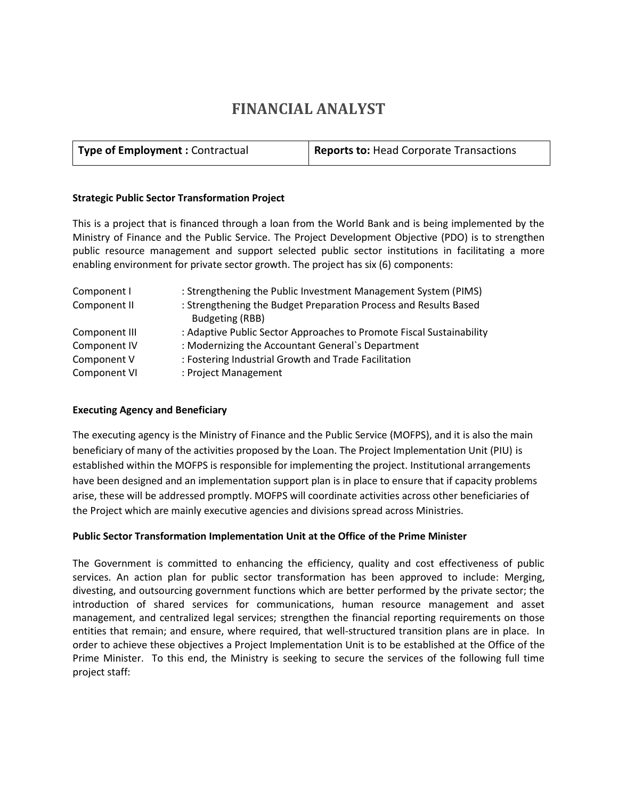# **FINANCIAL ANALYST**

| Type of Employment : Contractual | <b>Reports to: Head Corporate Transactions</b> |
|----------------------------------|------------------------------------------------|
|----------------------------------|------------------------------------------------|

#### **Strategic Public Sector Transformation Project**

This is a project that is financed through a loan from the World Bank and is being implemented by the Ministry of Finance and the Public Service. The Project Development Objective (PDO) is to strengthen public resource management and support selected public sector institutions in facilitating a more enabling environment for private sector growth. The project has six (6) components:

| Component I   | : Strengthening the Public Investment Management System (PIMS)                      |
|---------------|-------------------------------------------------------------------------------------|
| Component II  | : Strengthening the Budget Preparation Process and Results Based<br>Budgeting (RBB) |
| Component III | : Adaptive Public Sector Approaches to Promote Fiscal Sustainability                |
| Component IV  | : Modernizing the Accountant General's Department                                   |
| Component V   | : Fostering Industrial Growth and Trade Facilitation                                |
| Component VI  | : Project Management                                                                |

## **Executing Agency and Beneficiary**

The executing agency is the Ministry of Finance and the Public Service (MOFPS), and it is also the main beneficiary of many of the activities proposed by the Loan. The Project Implementation Unit (PIU) is established within the MOFPS is responsible for implementing the project. Institutional arrangements have been designed and an implementation support plan is in place to ensure that if capacity problems arise, these will be addressed promptly. MOFPS will coordinate activities across other beneficiaries of the Project which are mainly executive agencies and divisions spread across Ministries.

## **Public Sector Transformation Implementation Unit at the Office of the Prime Minister**

The Government is committed to enhancing the efficiency, quality and cost effectiveness of public services. An action plan for public sector transformation has been approved to include: Merging, divesting, and outsourcing government functions which are better performed by the private sector; the introduction of shared services for communications, human resource management and asset management, and centralized legal services; strengthen the financial reporting requirements on those entities that remain; and ensure, where required, that well-structured transition plans are in place. In order to achieve these objectives a Project Implementation Unit is to be established at the Office of the Prime Minister. To this end, the Ministry is seeking to secure the services of the following full time project staff: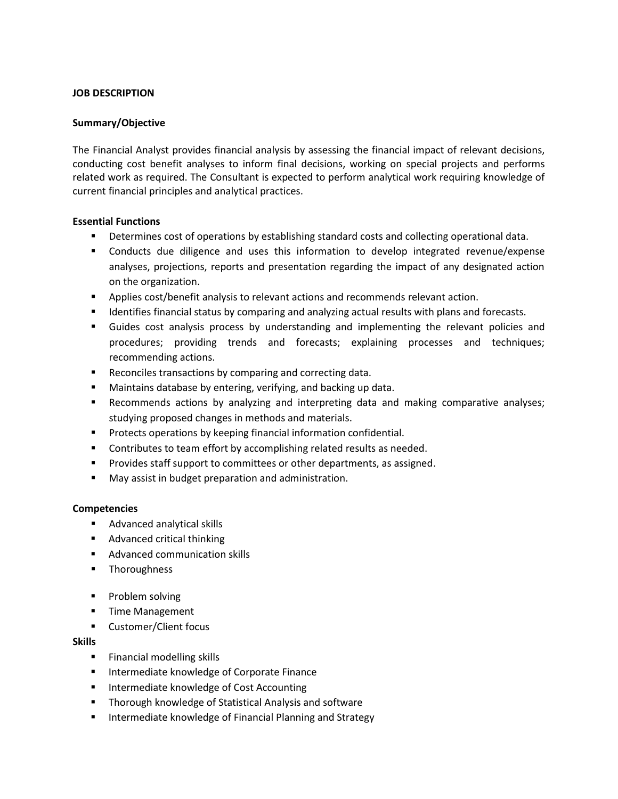#### **JOB DESCRIPTION**

#### **Summary/Objective**

The Financial Analyst provides financial analysis by assessing the financial impact of relevant decisions, conducting cost benefit analyses to inform final decisions, working on special projects and performs related work as required. The Consultant is expected to perform analytical work requiring knowledge of current financial principles and analytical practices.

#### **Essential Functions**

- **Determines cost of operations by establishing standard costs and collecting operational data.**
- **Conducts due diligence and uses this information to develop integrated revenue/expense** analyses, projections, reports and presentation regarding the impact of any designated action on the organization.
- **Applies cost/benefit analysis to relevant actions and recommends relevant action.**
- **If all identifies financial status by comparing and analyzing actual results with plans and forecasts.**
- Guides cost analysis process by understanding and implementing the relevant policies and procedures; providing trends and forecasts; explaining processes and techniques; recommending actions.
- Reconciles transactions by comparing and correcting data.
- Maintains database by entering, verifying, and backing up data.
- Recommends actions by analyzing and interpreting data and making comparative analyses; studying proposed changes in methods and materials.
- **Protects operations by keeping financial information confidential.**
- **Contributes to team effort by accomplishing related results as needed.**
- **Provides staff support to committees or other departments, as assigned.**
- **May assist in budget preparation and administration.**

## **Competencies**

- **Advanced analytical skills**
- **Advanced critical thinking**
- **Advanced communication skills**
- **-** Thoroughness
- **Problem solving**
- **Time Management**
- Customer/Client focus

## **Skills**

- **Financial modelling skills**
- **Intermediate knowledge of Corporate Finance**
- **Intermediate knowledge of Cost Accounting**
- **Thorough knowledge of Statistical Analysis and software**
- **Intermediate knowledge of Financial Planning and Strategy**